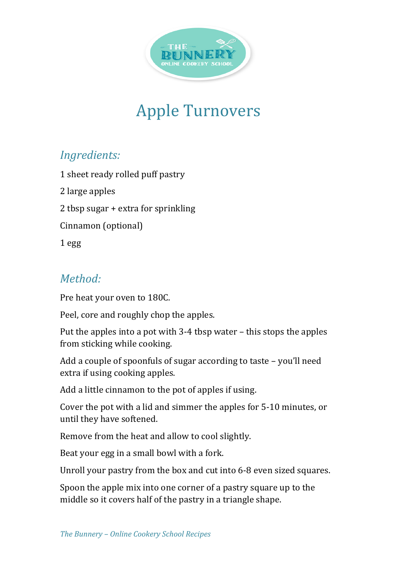

## **Apple Turnovers**

## *Ingredients:*

1 sheet ready rolled puff pastry

2 large apples

2 tbsp sugar  $+$  extra for sprinkling

Cinnamon (optional)

1 egg

## *Method:*

Pre heat your oven to 180C.

Peel, core and roughly chop the apples.

Put the apples into a pot with  $3-4$  tbsp water – this stops the apples from sticking while cooking.

Add a couple of spoonfuls of sugar according to taste  $-$  you'll need extra if using cooking apples.

Add a little cinnamon to the pot of apples if using.

Cover the pot with a lid and simmer the apples for 5-10 minutes, or until they have softened.

Remove from the heat and allow to cool slightly.

Beat your egg in a small bowl with a fork.

Unroll your pastry from the box and cut into 6-8 even sized squares.

Spoon the apple mix into one corner of a pastry square up to the middle so it covers half of the pastry in a triangle shape.